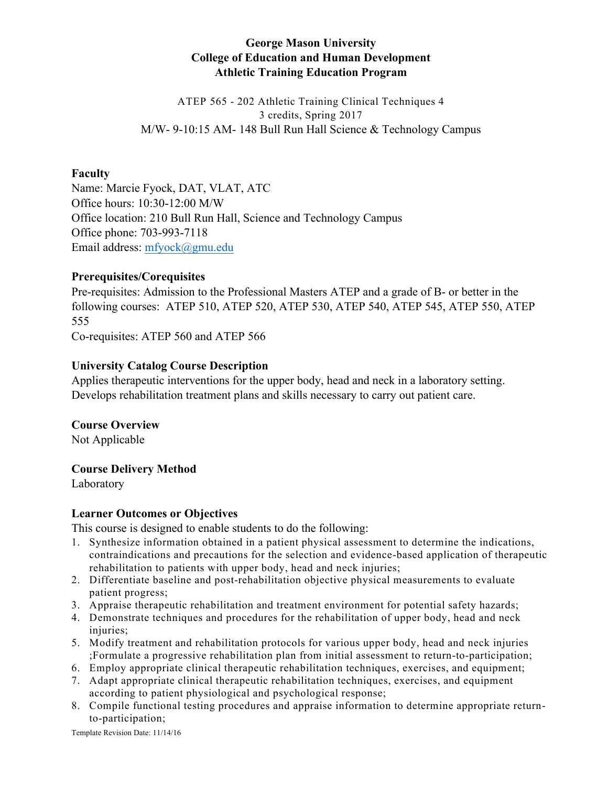# **George Mason University College of Education and Human Development Athletic Training Education Program**

ATEP 565 - 202 Athletic Training Clinical Techniques 4 3 credits, Spring 2017 M/W- 9-10:15 AM- 148 Bull Run Hall Science & Technology Campus

## **Faculty**

Name: Marcie Fyock, DAT, VLAT, ATC Office hours: 10:30-12:00 M/W Office location: 210 Bull Run Hall, Science and Technology Campus Office phone: 703-993-7118 Email address: mfyock@gmu.edu

## **Prerequisites/Corequisites**

Pre-requisites: Admission to the Professional Masters ATEP and a grade of B- or better in the following courses: ATEP 510, ATEP 520, ATEP 530, ATEP 540, ATEP 545, ATEP 550, ATEP 555

Co-requisites: ATEP 560 and ATEP 566

## **University Catalog Course Description**

Applies therapeutic interventions for the upper body, head and neck in a laboratory setting. Develops rehabilitation treatment plans and skills necessary to carry out patient care.

# **Course Overview**

Not Applicable

### **Course Delivery Method**

Laboratory

# **Learner Outcomes or Objectives**

This course is designed to enable students to do the following:

- 1. Synthesize information obtained in a patient physical assessment to determine the indications, contraindications and precautions for the selection and evidence-based application of therapeutic rehabilitation to patients with upper body, head and neck injuries;
- 2. Differentiate baseline and post-rehabilitation objective physical measurements to evaluate patient progress;
- 3. Appraise therapeutic rehabilitation and treatment environment for potential safety hazards;
- 4. Demonstrate techniques and procedures for the rehabilitation of upper body, head and neck injuries;
- 5. Modify treatment and rehabilitation protocols for various upper body, head and neck injuries ;Formulate a progressive rehabilitation plan from initial assessment to return-to-participation;
- 6. Employ appropriate clinical therapeutic rehabilitation techniques, exercises, and equipment;
- 7. Adapt appropriate clinical therapeutic rehabilitation techniques, exercises, and equipment according to patient physiological and psychological response;
- 8. Compile functional testing procedures and appraise information to determine appropriate returnto-participation;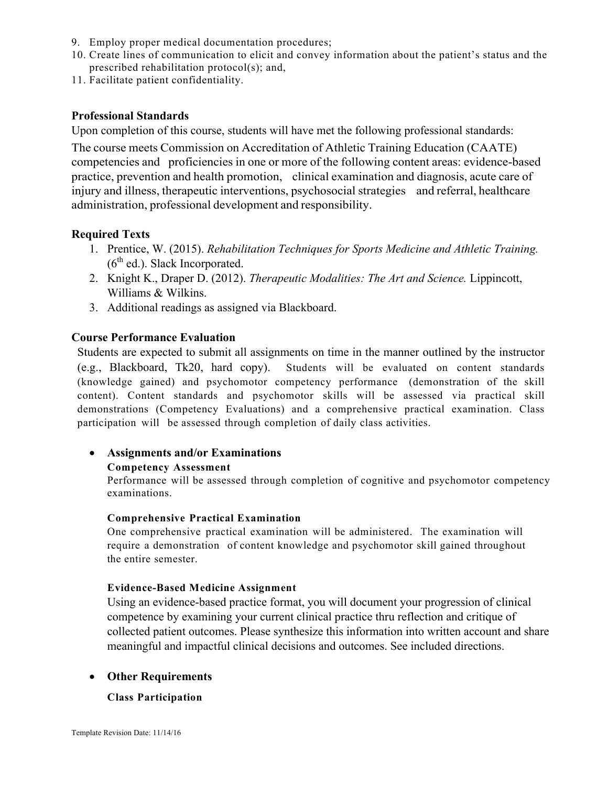- 9. Employ proper medical documentation procedures;
- 10. Create lines of communication to elicit and convey information about the patient's status and the prescribed rehabilitation protocol(s); and,
- 11. Facilitate patient confidentiality.

#### **Professional Standards**

Upon completion of this course, students will have met the following professional standards:

The course meets Commission on Accreditation of Athletic Training Education (CAATE) competencies and proficiencies in one or more of the following content areas: evidence-based practice, prevention and health promotion, clinical examination and diagnosis, acute care of injury and illness, therapeutic interventions, psychosocial strategies and referral, healthcare administration, professional development and responsibility.

#### **Required Texts**

- 1. Prentice, W. (2015). *Rehabilitation Techniques for Sports Medicine and Athletic Training.*   $(6<sup>th</sup>$  ed.). Slack Incorporated.
- 2. Knight K., Draper D. (2012). *Therapeutic Modalities: The Art and Science.* Lippincott, Williams & Wilkins.
- 3. Additional readings as assigned via Blackboard.

#### **Course Performance Evaluation**

Students are expected to submit all assignments on time in the manner outlined by the instructor (e.g., Blackboard, Tk20, hard copy). Students will be evaluated on content standards (knowledge gained) and psychomotor competency performance (demonstration of the skill content). Content standards and psychomotor skills will be assessed via practical skill demonstrations (Competency Evaluations) and a comprehensive practical examination. Class participation will be assessed through completion of daily class activities.

### • **Assignments and/or Examinations**

#### **Competency Assessment**

Performance will be assessed through completion of cognitive and psychomotor competency examinations.

#### **Comprehensive Practical Examination**

One comprehensive practical examination will be administered. The examination will require a demonstration of content knowledge and psychomotor skill gained throughout the entire semester.

#### **Evidence-Based Medicine Assignment**

Using an evidence-based practice format, you will document your progression of clinical competence by examining your current clinical practice thru reflection and critique of collected patient outcomes. Please synthesize this information into written account and share meaningful and impactful clinical decisions and outcomes. See included directions.

#### • **Other Requirements**

#### **Class Participation**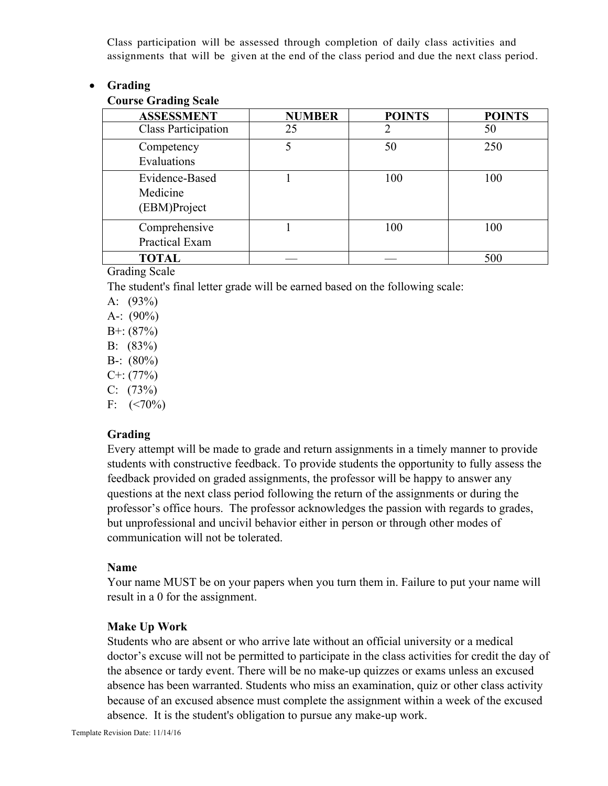Class participation will be assessed through completion of daily class activities and assignments that will be given at the end of the class period and due the next class period.

## • **Grading**

## **Course Grading Scale**

| <b>ASSESSMENT</b>                          | <b>NUMBER</b> | <b>POINTS</b> | <b>POINTS</b> |
|--------------------------------------------|---------------|---------------|---------------|
| <b>Class Participation</b>                 | 25            |               | 50            |
| Competency<br>Evaluations                  |               | 50            | 250           |
| Evidence-Based<br>Medicine<br>(EBM)Project |               | 100           | 100           |
| Comprehensive<br>Practical Exam            |               | 100           | 100           |
| <b>TOTAL</b>                               |               |               | 500           |

Grading Scale

The student's final letter grade will be earned based on the following scale:

- A:  $(93%)$
- A-:  $(90\%)$
- $B^{+}$ : (87%)
- B: (83%)
- B-:  $(80\%)$
- $C^{+}$ : (77%)
- $C: (73%)$
- F:  $(< 70\%)$

# **Grading**

Every attempt will be made to grade and return assignments in a timely manner to provide students with constructive feedback. To provide students the opportunity to fully assess the feedback provided on graded assignments, the professor will be happy to answer any questions at the next class period following the return of the assignments or during the professor's office hours. The professor acknowledges the passion with regards to grades, but unprofessional and uncivil behavior either in person or through other modes of communication will not be tolerated.

### **Name**

Your name MUST be on your papers when you turn them in. Failure to put your name will result in a 0 for the assignment.

# **Make Up Work**

Students who are absent or who arrive late without an official university or a medical doctor's excuse will not be permitted to participate in the class activities for credit the day of the absence or tardy event. There will be no make-up quizzes or exams unless an excused absence has been warranted. Students who miss an examination, quiz or other class activity because of an excused absence must complete the assignment within a week of the excused absence. It is the student's obligation to pursue any make-up work.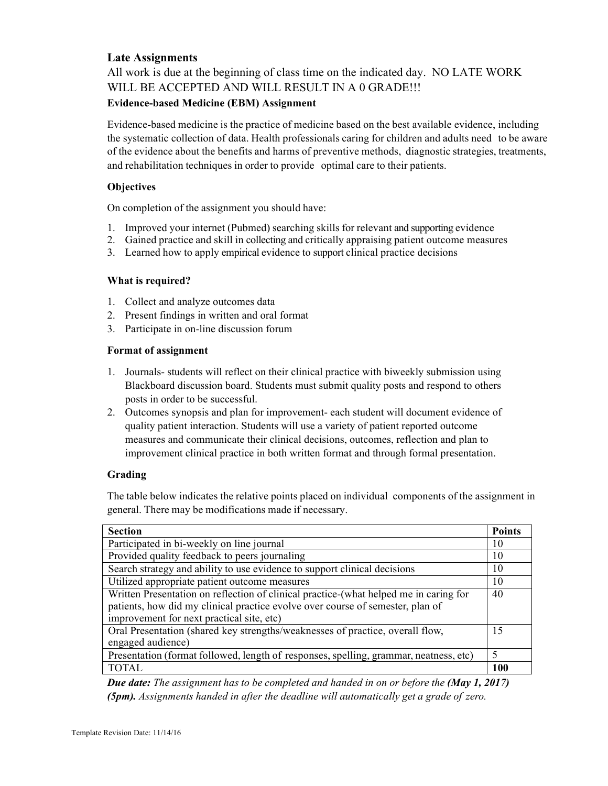## **Late Assignments**

All work is due at the beginning of class time on the indicated day. NO LATE WORK WILL BE ACCEPTED AND WILL RESULT IN A 0 GRADE!!! **Evidence-based Medicine (EBM) Assignment**

Evidence-based medicine is the practice of medicine based on the best available evidence, including the systematic collection of data. Health professionals caring for children and adults need to be aware of the evidence about the benefits and harms of preventive methods, diagnostic strategies, treatments, and rehabilitation techniques in order to provide optimal care to their patients.

#### **Objectives**

On completion of the assignment you should have:

- 1. Improved your internet (Pubmed) searching skills for relevant and supporting evidence
- 2. Gained practice and skill in collecting and critically appraising patient outcome measures
- 3. Learned how to apply empirical evidence to support clinical practice decisions

#### **What is required?**

- 1. Collect and analyze outcomes data
- 2. Present findings in written and oral format
- 3. Participate in on-line discussion forum

#### **Format of assignment**

- 1. Journals- students will reflect on their clinical practice with biweekly submission using Blackboard discussion board. Students must submit quality posts and respond to others posts in order to be successful.
- 2. Outcomes synopsis and plan for improvement- each student will document evidence of quality patient interaction. Students will use a variety of patient reported outcome measures and communicate their clinical decisions, outcomes, reflection and plan to improvement clinical practice in both written format and through formal presentation.

### **Grading**

The table below indicates the relative points placed on individual components of the assignment in general. There may be modifications made if necessary.

| <b>Section</b>                                                                        | <b>Points</b> |  |  |  |
|---------------------------------------------------------------------------------------|---------------|--|--|--|
| Participated in bi-weekly on line journal                                             |               |  |  |  |
| Provided quality feedback to peers journaling                                         |               |  |  |  |
| Search strategy and ability to use evidence to support clinical decisions             |               |  |  |  |
| Utilized appropriate patient outcome measures                                         | 10            |  |  |  |
| Written Presentation on reflection of clinical practice-(what helped me in caring for |               |  |  |  |
| patients, how did my clinical practice evolve over course of semester, plan of        |               |  |  |  |
| improvement for next practical site, etc)                                             |               |  |  |  |
| Oral Presentation (shared key strengths/weaknesses of practice, overall flow,         |               |  |  |  |
| engaged audience)                                                                     |               |  |  |  |
| Presentation (format followed, length of responses, spelling, grammar, neatness, etc) |               |  |  |  |
| <b>TOTAL</b>                                                                          | <b>100</b>    |  |  |  |

*Due date: The assignment has to be completed and handed in on or before the (May 1, 2017) (5pm). Assignments handed in after the deadline will automatically get a grade of zero.*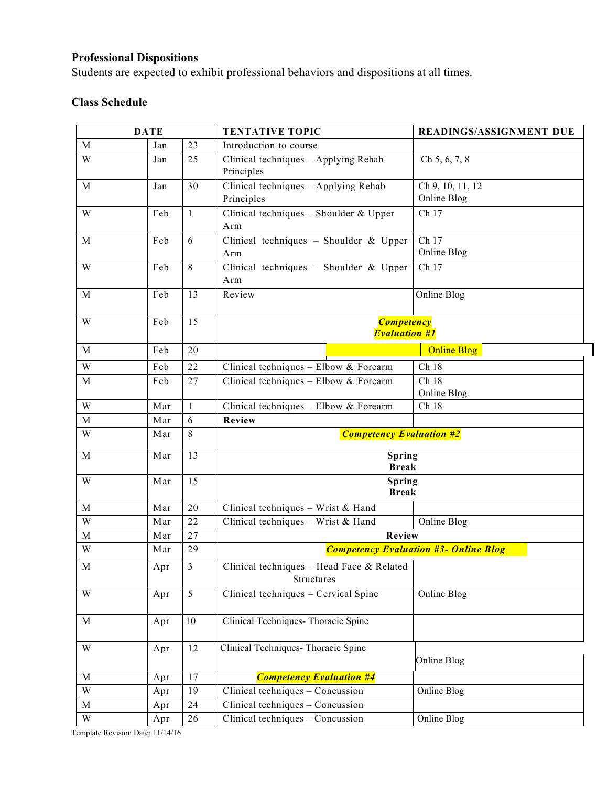# **Professional Dispositions**

Students are expected to exhibit professional behaviors and dispositions at all times.

# **Class Schedule**

|                         | <b>DATE</b> |              | <b>TENTATIVE TOPIC</b>                                               | <b>READINGS/ASSIGNMENT DUE</b>               |
|-------------------------|-------------|--------------|----------------------------------------------------------------------|----------------------------------------------|
| M                       | Jan         | 23           | Introduction to course                                               |                                              |
| W                       | Jan         | 25           | Clinical techniques - Applying Rehab<br>Principles                   | Ch 5, 6, 7, 8                                |
| M                       | Jan         | 30           | Clinical techniques - Applying Rehab<br>Principles                   | Ch 9, 10, 11, 12<br>Online Blog              |
| W                       | Feb         | $\mathbf{1}$ | Clinical techniques - Shoulder & Upper<br>Arm                        | Ch 17                                        |
| M                       | Feb         | 6            | Clinical techniques - Shoulder & Upper<br>Arm                        | Ch 17<br>Online Blog                         |
| W                       | Feb         | 8            | Clinical techniques - Shoulder & Upper<br>Arm                        | Ch 17                                        |
| M                       | Feb         | 13           | Review                                                               | Online Blog                                  |
| W                       | Feb         | 15           | <b>Competency</b><br><b>Evaluation #1</b>                            |                                              |
| M                       | Feb         | 20           |                                                                      | <b>Online Blog</b>                           |
| W                       | Feb         | 22           | Clinical techniques - Elbow & Forearm                                | Ch 18                                        |
| M                       | Feb         | 27           | Clinical techniques - Elbow & Forearm                                | Ch18<br>Online Blog                          |
| $\ensuremath{\text{W}}$ | Mar         | $\mathbf{1}$ | Clinical techniques - Elbow & Forearm                                | Ch 18                                        |
| $\mathbf M$             | Mar         | 6            | <b>Review</b>                                                        |                                              |
| W                       | Mar         | 8            | <b>Competency Evaluation #2</b>                                      |                                              |
| M                       | Mar         | 13           | Spring<br><b>Break</b>                                               |                                              |
|                         |             |              | Spring<br><b>Break</b>                                               |                                              |
| W                       | Mar         | 15           |                                                                      |                                              |
| M                       | Mar         | 20           | Clinical techniques - Wrist $&$ Hand                                 |                                              |
| W                       | Mar         | 22           | Clinical techniques - Wrist & Hand                                   | Online Blog                                  |
| M                       | Mar         | 27           | Review                                                               |                                              |
| W                       | Mar         | 29           |                                                                      | <b>Competency Evaluation #3- Online Blog</b> |
| M                       | Apr         | 3            | Clinical techniques - Head Face & Related<br>Structures              |                                              |
| W                       | Apr         | 5            | Clinical techniques - Cervical Spine                                 | Online Blog                                  |
| M                       | Apr         | 10           | Clinical Techniques-Thoracic Spine                                   |                                              |
| W                       | Apr         | 12           | Clinical Techniques- Thoracic Spine                                  | Online Blog                                  |
| $\mathbf M$             | Apr         | 17           | <b>Competency Evaluation #4</b>                                      |                                              |
| W                       | Apr         | 19           | Clinical techniques - Concussion                                     | Online Blog                                  |
| M<br>W                  | Apr         | 24<br>$26\,$ | Clinical techniques - Concussion<br>Clinical techniques - Concussion | Online Blog                                  |

Template Revision Date: 11/14/16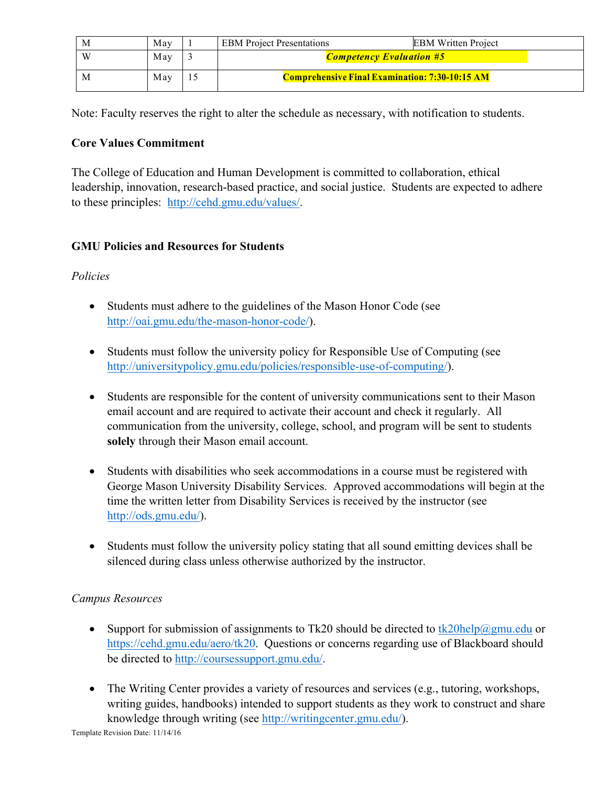| M   | May | <b>EBM</b> Project Presentations                      | <b>EBM Written Project</b> |
|-----|-----|-------------------------------------------------------|----------------------------|
| - W | May | <b>Competency Evaluation #5</b>                       |                            |
| M   | May | <b>Comprehensive Final Examination: 7:30-10:15 AM</b> |                            |

Note: Faculty reserves the right to alter the schedule as necessary, with notification to students.

# **Core Values Commitment**

The College of Education and Human Development is committed to collaboration, ethical leadership, innovation, research-based practice, and social justice. Students are expected to adhere to these principles: http://cehd.gmu.edu/values/.

# **GMU Policies and Resources for Students**

# *Policies*

- Students must adhere to the guidelines of the Mason Honor Code (see http://oai.gmu.edu/the-mason-honor-code/).
- Students must follow the university policy for Responsible Use of Computing (see http://universitypolicy.gmu.edu/policies/responsible-use-of-computing/).
- Students are responsible for the content of university communications sent to their Mason email account and are required to activate their account and check it regularly. All communication from the university, college, school, and program will be sent to students **solely** through their Mason email account.
- Students with disabilities who seek accommodations in a course must be registered with George Mason University Disability Services. Approved accommodations will begin at the time the written letter from Disability Services is received by the instructor (see http://ods.gmu.edu/).
- Students must follow the university policy stating that all sound emitting devices shall be silenced during class unless otherwise authorized by the instructor.

# *Campus Resources*

- Support for submission of assignments to Tk20 should be directed to tk20help@gmu.edu or https://cehd.gmu.edu/aero/tk20. Questions or concerns regarding use of Blackboard should be directed to http://coursessupport.gmu.edu/.
- The Writing Center provides a variety of resources and services (e.g., tutoring, workshops, writing guides, handbooks) intended to support students as they work to construct and share knowledge through writing (see http://writingcenter.gmu.edu/).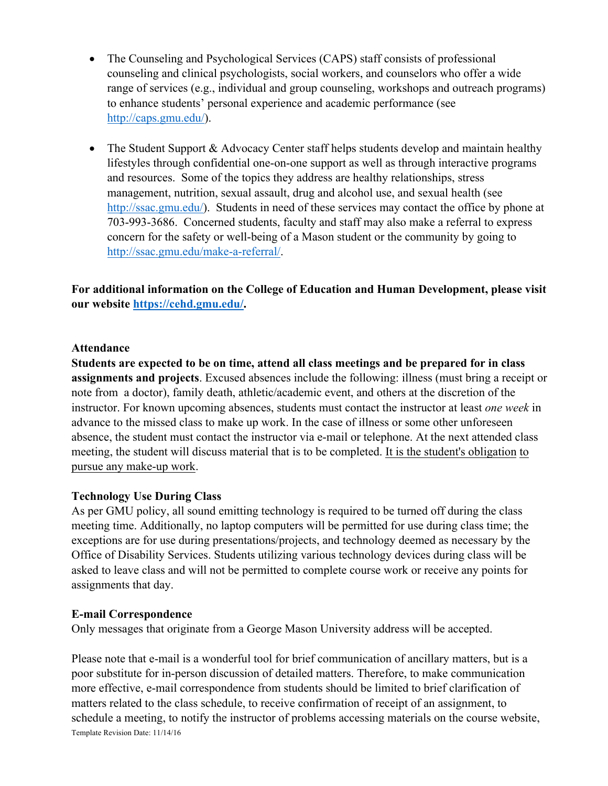- The Counseling and Psychological Services (CAPS) staff consists of professional counseling and clinical psychologists, social workers, and counselors who offer a wide range of services (e.g., individual and group counseling, workshops and outreach programs) to enhance students' personal experience and academic performance (see http://caps.gmu.edu/).
- The Student Support & Advocacy Center staff helps students develop and maintain healthy lifestyles through confidential one-on-one support as well as through interactive programs and resources. Some of the topics they address are healthy relationships, stress management, nutrition, sexual assault, drug and alcohol use, and sexual health (see http://ssac.gmu.edu/). Students in need of these services may contact the office by phone at 703-993-3686. Concerned students, faculty and staff may also make a referral to express concern for the safety or well-being of a Mason student or the community by going to http://ssac.gmu.edu/make-a-referral/.

**For additional information on the College of Education and Human Development, please visit our website https://cehd.gmu.edu/.**

## **Attendance**

**Students are expected to be on time, attend all class meetings and be prepared for in class assignments and projects**. Excused absences include the following: illness (must bring a receipt or note from a doctor), family death, athletic/academic event, and others at the discretion of the instructor. For known upcoming absences, students must contact the instructor at least *one week* in advance to the missed class to make up work. In the case of illness or some other unforeseen absence, the student must contact the instructor via e-mail or telephone. At the next attended class meeting, the student will discuss material that is to be completed. It is the student's obligation to pursue any make-up work.

# **Technology Use During Class**

As per GMU policy, all sound emitting technology is required to be turned off during the class meeting time. Additionally, no laptop computers will be permitted for use during class time; the exceptions are for use during presentations/projects, and technology deemed as necessary by the Office of Disability Services. Students utilizing various technology devices during class will be asked to leave class and will not be permitted to complete course work or receive any points for assignments that day.

### **E-mail Correspondence**

Only messages that originate from a George Mason University address will be accepted.

Template Revision Date: 11/14/16 Please note that e-mail is a wonderful tool for brief communication of ancillary matters, but is a poor substitute for in-person discussion of detailed matters. Therefore, to make communication more effective, e-mail correspondence from students should be limited to brief clarification of matters related to the class schedule, to receive confirmation of receipt of an assignment, to schedule a meeting, to notify the instructor of problems accessing materials on the course website,